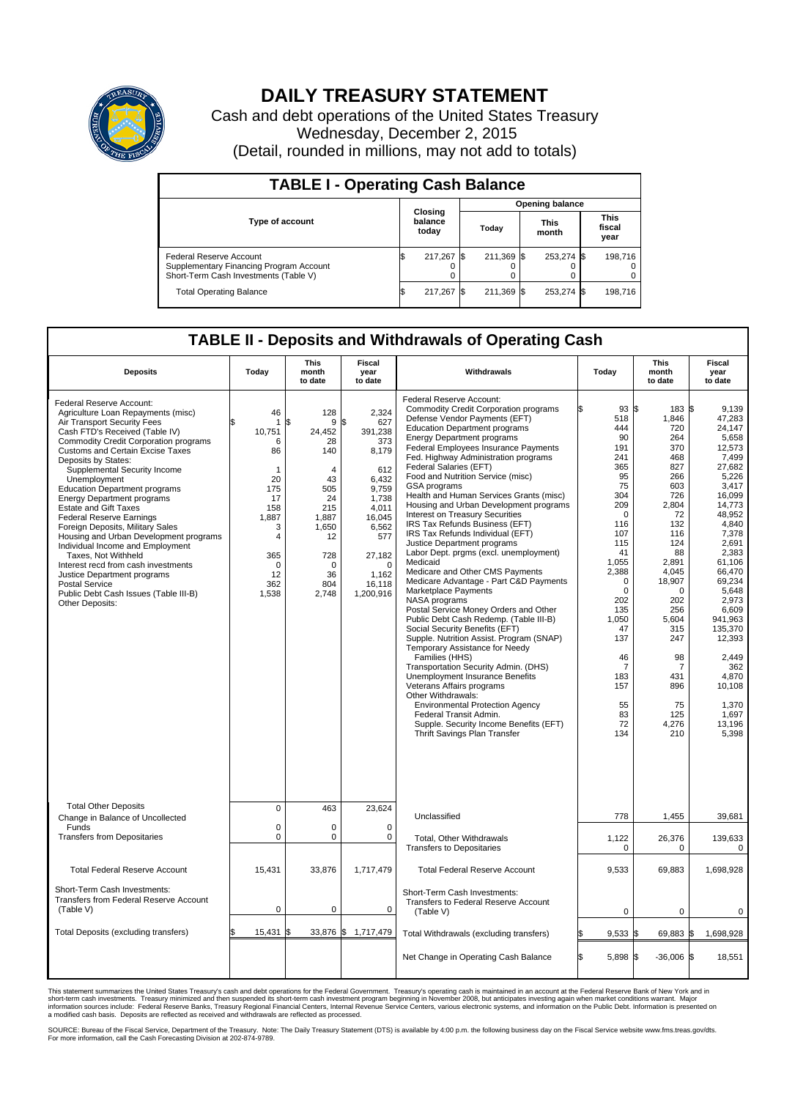

## **DAILY TREASURY STATEMENT**

Cash and debt operations of the United States Treasury Wednesday, December 2, 2015 (Detail, rounded in millions, may not add to totals)

| <b>TABLE I - Operating Cash Balance</b>                                                                     |                             |         |       |                        |                      |            |                               |         |  |  |  |
|-------------------------------------------------------------------------------------------------------------|-----------------------------|---------|-------|------------------------|----------------------|------------|-------------------------------|---------|--|--|--|
|                                                                                                             |                             |         |       | <b>Opening balance</b> |                      |            |                               |         |  |  |  |
| Type of account                                                                                             | Closing<br>balance<br>today |         | Today |                        | <b>This</b><br>month |            | <b>This</b><br>fiscal<br>year |         |  |  |  |
| Federal Reserve Account<br>Supplementary Financing Program Account<br>Short-Term Cash Investments (Table V) |                             | 217,267 |       | 211.369 \$             |                      | 253,274 \$ |                               | 198,716 |  |  |  |
| <b>Total Operating Balance</b>                                                                              |                             | 217,267 |       | 211,369 \$             |                      | 253,274 \$ |                               | 198,716 |  |  |  |

## **TABLE II - Deposits and Withdrawals of Operating Cash**

| <b>Deposits</b>                                                                                                                                                                                                                                                                                                                                                                                                                                                                                                                                                                                                                                                                                                                                | Today                                                                                                             | <b>This</b><br>month<br>to date                                                                                                                    | <b>Fiscal</b><br>year<br>to date                                                                                                                                            | Withdrawals                                                                                                                                                                                                                                                                                                                                                                                                                                                                                                                                                                                                                                                                                                                                                                                                                                                                                                                                                                                                                                                                                                                                                                                                                                                            | Today                                                                                                                                                                                                                                                      | This<br>month<br>to date                                                                                                                                                                                                                             | <b>Fiscal</b><br>year<br>to date                                                                                                                                                                                                                                                                                     |  |  |
|------------------------------------------------------------------------------------------------------------------------------------------------------------------------------------------------------------------------------------------------------------------------------------------------------------------------------------------------------------------------------------------------------------------------------------------------------------------------------------------------------------------------------------------------------------------------------------------------------------------------------------------------------------------------------------------------------------------------------------------------|-------------------------------------------------------------------------------------------------------------------|----------------------------------------------------------------------------------------------------------------------------------------------------|-----------------------------------------------------------------------------------------------------------------------------------------------------------------------------|------------------------------------------------------------------------------------------------------------------------------------------------------------------------------------------------------------------------------------------------------------------------------------------------------------------------------------------------------------------------------------------------------------------------------------------------------------------------------------------------------------------------------------------------------------------------------------------------------------------------------------------------------------------------------------------------------------------------------------------------------------------------------------------------------------------------------------------------------------------------------------------------------------------------------------------------------------------------------------------------------------------------------------------------------------------------------------------------------------------------------------------------------------------------------------------------------------------------------------------------------------------------|------------------------------------------------------------------------------------------------------------------------------------------------------------------------------------------------------------------------------------------------------------|------------------------------------------------------------------------------------------------------------------------------------------------------------------------------------------------------------------------------------------------------|----------------------------------------------------------------------------------------------------------------------------------------------------------------------------------------------------------------------------------------------------------------------------------------------------------------------|--|--|
| Federal Reserve Account:<br>Agriculture Loan Repayments (misc)<br>Air Transport Security Fees<br>Cash FTD's Received (Table IV)<br><b>Commodity Credit Corporation programs</b><br><b>Customs and Certain Excise Taxes</b><br>Deposits by States:<br>Supplemental Security Income<br>Unemployment<br><b>Education Department programs</b><br><b>Energy Department programs</b><br><b>Estate and Gift Taxes</b><br><b>Federal Reserve Earnings</b><br>Foreign Deposits, Military Sales<br>Housing and Urban Development programs<br>Individual Income and Employment<br>Taxes. Not Withheld<br>Interest recd from cash investments<br>Justice Department programs<br>Postal Service<br>Public Debt Cash Issues (Table III-B)<br>Other Deposits: | 46<br>1<br>10,751<br>6<br>86<br>-1<br>20<br>175<br>17<br>158<br>1,887<br>3<br>4<br>365<br>0<br>12<br>362<br>1,538 | 128<br>\$<br>9<br>24,452<br>28<br>140<br>$\overline{4}$<br>43<br>505<br>24<br>215<br>1,887<br>1,650<br>12<br>728<br>$\Omega$<br>36<br>804<br>2,748 | 2.324<br>\$<br>627<br>391,238<br>373<br>8,179<br>612<br>6,432<br>9,759<br>1.738<br>4,011<br>16,045<br>6,562<br>577<br>27,182<br>$\mathbf 0$<br>1,162<br>16,118<br>1,200,916 | Federal Reserve Account:<br><b>Commodity Credit Corporation programs</b><br>Defense Vendor Payments (EFT)<br><b>Education Department programs</b><br><b>Energy Department programs</b><br><b>Federal Employees Insurance Payments</b><br>Fed. Highway Administration programs<br>Federal Salaries (EFT)<br>Food and Nutrition Service (misc)<br>GSA programs<br>Health and Human Services Grants (misc)<br>Housing and Urban Development programs<br>Interest on Treasury Securities<br>IRS Tax Refunds Business (EFT)<br>IRS Tax Refunds Individual (EFT)<br>Justice Department programs<br>Labor Dept. prgms (excl. unemployment)<br>Medicaid<br>Medicare and Other CMS Payments<br>Medicare Advantage - Part C&D Payments<br>Marketplace Payments<br>NASA programs<br>Postal Service Money Orders and Other<br>Public Debt Cash Redemp. (Table III-B)<br>Social Security Benefits (EFT)<br>Supple. Nutrition Assist. Program (SNAP)<br>Temporary Assistance for Needy<br>Families (HHS)<br>Transportation Security Admin. (DHS)<br>Unemployment Insurance Benefits<br>Veterans Affairs programs<br>Other Withdrawals:<br><b>Environmental Protection Agency</b><br>Federal Transit Admin.<br>Supple. Security Income Benefits (EFT)<br>Thrift Savings Plan Transfer | 93 \$<br>ß<br>518<br>444<br>90<br>191<br>241<br>365<br>95<br>75<br>304<br>209<br>$\Omega$<br>116<br>107<br>115<br>41<br>1,055<br>2,388<br>$\mathbf 0$<br>$\mathbf 0$<br>202<br>135<br>1,050<br>47<br>137<br>46<br>7<br>183<br>157<br>55<br>83<br>72<br>134 | 183 \$<br>1,846<br>720<br>264<br>370<br>468<br>827<br>266<br>603<br>726<br>2.804<br>72<br>132<br>116<br>124<br>88<br>2.891<br>4,045<br>18,907<br>$\Omega$<br>202<br>256<br>5,604<br>315<br>247<br>98<br>7<br>431<br>896<br>75<br>125<br>4,276<br>210 | 9,139<br>47.283<br>24.147<br>5,658<br>12,573<br>7.499<br>27,682<br>5,226<br>3,417<br>16,099<br>14.773<br>48,952<br>4.840<br>7,378<br>2,691<br>2,383<br>61.106<br>66,470<br>69,234<br>5,648<br>2,973<br>6,609<br>941.963<br>135,370<br>12,393<br>2,449<br>362<br>4.870<br>10,108<br>1,370<br>1,697<br>13,196<br>5,398 |  |  |
| <b>Total Other Deposits</b><br>Change in Balance of Uncollected                                                                                                                                                                                                                                                                                                                                                                                                                                                                                                                                                                                                                                                                                | $\mathbf 0$                                                                                                       | 463                                                                                                                                                | 23,624                                                                                                                                                                      | Unclassified                                                                                                                                                                                                                                                                                                                                                                                                                                                                                                                                                                                                                                                                                                                                                                                                                                                                                                                                                                                                                                                                                                                                                                                                                                                           | 778                                                                                                                                                                                                                                                        | 1,455                                                                                                                                                                                                                                                | 39,681                                                                                                                                                                                                                                                                                                               |  |  |
| Funds<br><b>Transfers from Depositaries</b>                                                                                                                                                                                                                                                                                                                                                                                                                                                                                                                                                                                                                                                                                                    | $\mathbf 0$<br>$\mathbf 0$                                                                                        | 0<br>0                                                                                                                                             | $\mathbf 0$<br>$\mathbf 0$                                                                                                                                                  | Total, Other Withdrawals<br><b>Transfers to Depositaries</b>                                                                                                                                                                                                                                                                                                                                                                                                                                                                                                                                                                                                                                                                                                                                                                                                                                                                                                                                                                                                                                                                                                                                                                                                           | 1,122<br>0                                                                                                                                                                                                                                                 | 26,376<br>0                                                                                                                                                                                                                                          | 139,633<br>0                                                                                                                                                                                                                                                                                                         |  |  |
| <b>Total Federal Reserve Account</b>                                                                                                                                                                                                                                                                                                                                                                                                                                                                                                                                                                                                                                                                                                           | 15,431                                                                                                            | 33,876                                                                                                                                             | 1,717,479                                                                                                                                                                   | <b>Total Federal Reserve Account</b>                                                                                                                                                                                                                                                                                                                                                                                                                                                                                                                                                                                                                                                                                                                                                                                                                                                                                                                                                                                                                                                                                                                                                                                                                                   | 9,533                                                                                                                                                                                                                                                      | 69,883                                                                                                                                                                                                                                               | 1,698,928                                                                                                                                                                                                                                                                                                            |  |  |
| Short-Term Cash Investments:<br>Transfers from Federal Reserve Account<br>(Table V)                                                                                                                                                                                                                                                                                                                                                                                                                                                                                                                                                                                                                                                            | $\pmb{0}$                                                                                                         | 0                                                                                                                                                  | $\mathbf 0$                                                                                                                                                                 | Short-Term Cash Investments:<br>Transfers to Federal Reserve Account<br>(Table V)                                                                                                                                                                                                                                                                                                                                                                                                                                                                                                                                                                                                                                                                                                                                                                                                                                                                                                                                                                                                                                                                                                                                                                                      | 0                                                                                                                                                                                                                                                          | 0                                                                                                                                                                                                                                                    | 0                                                                                                                                                                                                                                                                                                                    |  |  |
| Total Deposits (excluding transfers)                                                                                                                                                                                                                                                                                                                                                                                                                                                                                                                                                                                                                                                                                                           | 15,431                                                                                                            | 33,876 \$                                                                                                                                          | 1,717,479                                                                                                                                                                   | Total Withdrawals (excluding transfers)                                                                                                                                                                                                                                                                                                                                                                                                                                                                                                                                                                                                                                                                                                                                                                                                                                                                                                                                                                                                                                                                                                                                                                                                                                | $9,533$ \$<br>\$                                                                                                                                                                                                                                           | 69,883 \$                                                                                                                                                                                                                                            | 1,698,928                                                                                                                                                                                                                                                                                                            |  |  |
|                                                                                                                                                                                                                                                                                                                                                                                                                                                                                                                                                                                                                                                                                                                                                |                                                                                                                   |                                                                                                                                                    |                                                                                                                                                                             | Net Change in Operating Cash Balance                                                                                                                                                                                                                                                                                                                                                                                                                                                                                                                                                                                                                                                                                                                                                                                                                                                                                                                                                                                                                                                                                                                                                                                                                                   | Ŝ.<br>5,898 \$                                                                                                                                                                                                                                             | $-36,006$ \$                                                                                                                                                                                                                                         | 18,551                                                                                                                                                                                                                                                                                                               |  |  |

This statement summarizes the United States Treasury's cash and debt operations for the Federal Government. Treasury's operating cash is maintained in an account at the Federal Reserve Bank of New York and in<br>short-term ca

SOURCE: Bureau of the Fiscal Service, Department of the Treasury. Note: The Daily Treasury Statement (DTS) is available by 4:00 p.m. the following business day on the Fiscal Service website www.fms.treas.gov/dts.<br>For more